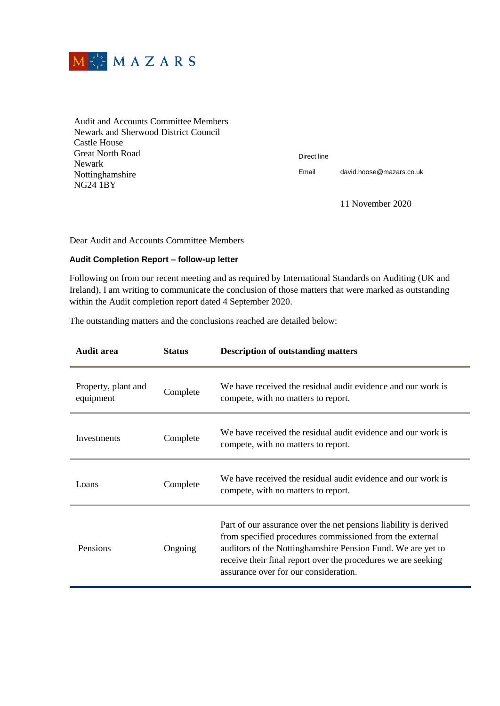

Audit and Accounts Committee Members Newark and Sherwood District Council Castle House Great North Road Newark Nottinghamshire NG24 1BY

Direct line

Email david.hoose@mazars.co.uk

11 November 2020

Dear Audit and Accounts Committee Members

## **Audit Completion Report – follow-up letter**

Following on from our recent meeting and as required by International Standards on Auditing (UK and Ireland), I am writing to communicate the conclusion of those matters that were marked as outstanding within the Audit completion report dated 4 September 2020.

The outstanding matters and the conclusions reached are detailed below:

| Audit area                       | <b>Status</b> | <b>Description of outstanding matters</b>                                                                                                                                                                                                                                                             |
|----------------------------------|---------------|-------------------------------------------------------------------------------------------------------------------------------------------------------------------------------------------------------------------------------------------------------------------------------------------------------|
| Property, plant and<br>equipment | Complete      | We have received the residual audit evidence and our work is<br>compete, with no matters to report.                                                                                                                                                                                                   |
| Investments                      | Complete      | We have received the residual audit evidence and our work is<br>compete, with no matters to report.                                                                                                                                                                                                   |
| Loans                            | Complete      | We have received the residual audit evidence and our work is<br>compete, with no matters to report.                                                                                                                                                                                                   |
| Pensions                         | Ongoing       | Part of our assurance over the net pensions liability is derived<br>from specified procedures commissioned from the external<br>auditors of the Nottinghamshire Pension Fund. We are yet to<br>receive their final report over the procedures we are seeking<br>assurance over for our consideration. |